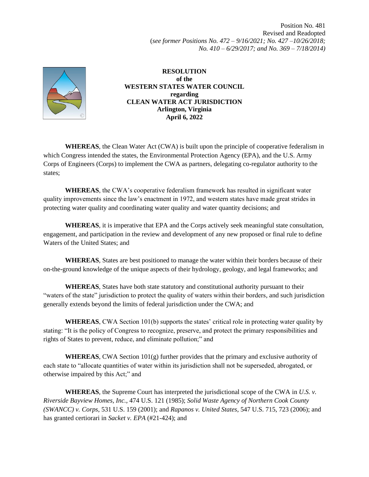Position No. 481 Revised and Readopted (*see former Positions No. 472 – 9/16/2021; No. 427 –10/26/2018; No. 410 – 6/29/2017; and No. 369 – 7/18/2014)*



**RESOLUTION of the WESTERN STATES WATER COUNCIL regarding CLEAN WATER ACT JURISDICTION Arlington, Virginia April 6, 2022**

**WHEREAS**, the Clean Water Act (CWA) is built upon the principle of cooperative federalism in which Congress intended the states, the Environmental Protection Agency (EPA), and the U.S. Army Corps of Engineers (Corps) to implement the CWA as partners, delegating co-regulator authority to the states;

**WHEREAS**, the CWA's cooperative federalism framework has resulted in significant water quality improvements since the law's enactment in 1972, and western states have made great strides in protecting water quality and coordinating water quality and water quantity decisions; and

**WHEREAS**, it is imperative that EPA and the Corps actively seek meaningful state consultation, engagement, and participation in the review and development of any new proposed or final rule to define Waters of the United States; and

**WHEREAS**, States are best positioned to manage the water within their borders because of their on-the-ground knowledge of the unique aspects of their hydrology, geology, and legal frameworks; and

**WHEREAS**, States have both state statutory and constitutional authority pursuant to their "waters of the state" jurisdiction to protect the quality of waters within their borders, and such jurisdiction generally extends beyond the limits of federal jurisdiction under the CWA; and

**WHEREAS**, CWA Section 101(b) supports the states' critical role in protecting water quality by stating: "It is the policy of Congress to recognize, preserve, and protect the primary responsibilities and rights of States to prevent, reduce, and eliminate pollution;" and

**WHEREAS**, CWA Section  $101(g)$  further provides that the primary and exclusive authority of each state to "allocate quantities of water within its jurisdiction shall not be superseded, abrogated, or otherwise impaired by this Act;" and

**WHEREAS**, the Supreme Court has interpreted the jurisdictional scope of the CWA in *U.S. v. Riverside Bayview Homes, Inc.*, 474 U.S. 121 (1985); *Solid Waste Agency of Northern Cook County (SWANCC) v. Corps*, 531 U.S. 159 (2001); and *Rapanos v. United States*, 547 U.S. 715, 723 (2006); and has granted certiorari in *Sacket v. EPA* (#21-424); and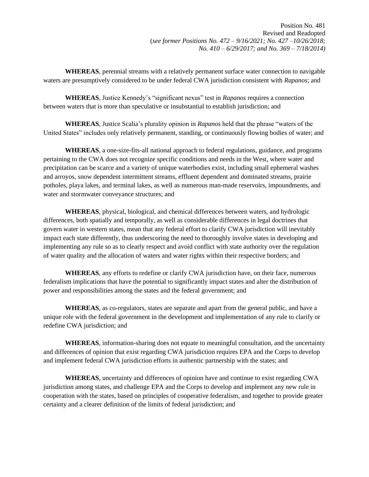**WHEREAS**, perennial streams with a relatively permanent surface water connection to navigable waters are presumptively considered to be under federal CWA jurisdiction consistent with *Rapanos*; and

**WHEREAS**, Justice Kennedy's "significant nexus" test in *Rapanos* requires a connection between waters that is more than speculative or insubstantial to establish jurisdiction; and

**WHEREAS**, Justice Scalia's plurality opinion in *Rapanos* held that the phrase "waters of the United States" includes only relatively permanent, standing, or continuously flowing bodies of water; and

**WHEREAS**, a one-size-fits-all national approach to federal regulations, guidance, and programs pertaining to the CWA does not recognize specific conditions and needs in the West, where water and precipitation can be scarce and a variety of unique waterbodies exist, including small ephemeral washes and arroyos, snow dependent intermittent streams, effluent dependent and dominated streams, prairie potholes, playa lakes, and terminal lakes, as well as numerous man-made reservoirs, impoundments, and water and stormwater conveyance structures; and

**WHEREAS**, physical, biological, and chemical differences between waters, and hydrologic differences, both spatially and temporally, as well as considerable differences in legal doctrines that govern water in western states, mean that any federal effort to clarify CWA jurisdiction will inevitably impact each state differently, thus underscoring the need to thoroughly involve states in developing and implementing any rule so as to clearly respect and avoid conflict with state authority over the regulation of water quality and the allocation of waters and water rights within their respective borders; and

**WHEREAS**, any efforts to redefine or clarify CWA jurisdiction have, on their face, numerous federalism implications that have the potential to significantly impact states and alter the distribution of power and responsibilities among the states and the federal government; and

**WHEREAS**, as co-regulators, states are separate and apart from the general public, and have a unique role with the federal government in the development and implementation of any rule to clarify or redefine CWA jurisdiction; and

**WHEREAS**, information-sharing does not equate to meaningful consultation, and the uncertainty and differences of opinion that exist regarding CWA jurisdiction requires EPA and the Corps to develop and implement federal CWA jurisdiction efforts in authentic partnership with the states; and

**WHEREAS**, uncertainty and differences of opinion have and continue to exist regarding CWA jurisdiction among states, and challenge EPA and the Corps to develop and implement any new rule in cooperation with the states, based on principles of cooperative federalism, and together to provide greater certainty and a clearer definition of the limits of federal jurisdiction; and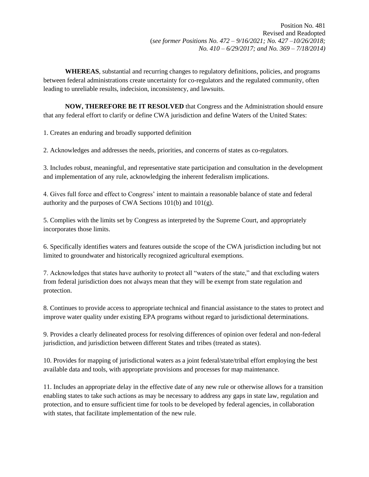**WHEREAS**, substantial and recurring changes to regulatory definitions, policies, and programs between federal administrations create uncertainty for co-regulators and the regulated community, often leading to unreliable results, indecision, inconsistency, and lawsuits.

**NOW, THEREFORE BE IT RESOLVED** that Congress and the Administration should ensure that any federal effort to clarify or define CWA jurisdiction and define Waters of the United States:

1. Creates an enduring and broadly supported definition

2. Acknowledges and addresses the needs, priorities, and concerns of states as co-regulators.

3. Includes robust, meaningful, and representative state participation and consultation in the development and implementation of any rule, acknowledging the inherent federalism implications.

4. Gives full force and effect to Congress' intent to maintain a reasonable balance of state and federal authority and the purposes of CWA Sections 101(b) and 101(g).

5. Complies with the limits set by Congress as interpreted by the Supreme Court, and appropriately incorporates those limits.

6. Specifically identifies waters and features outside the scope of the CWA jurisdiction including but not limited to groundwater and historically recognized agricultural exemptions.

7. Acknowledges that states have authority to protect all "waters of the state," and that excluding waters from federal jurisdiction does not always mean that they will be exempt from state regulation and protection.

8. Continues to provide access to appropriate technical and financial assistance to the states to protect and improve water quality under existing EPA programs without regard to jurisdictional determinations.

9. Provides a clearly delineated process for resolving differences of opinion over federal and non-federal jurisdiction, and jurisdiction between different States and tribes (treated as states).

10. Provides for mapping of jurisdictional waters as a joint federal/state/tribal effort employing the best available data and tools, with appropriate provisions and processes for map maintenance.

11. Includes an appropriate delay in the effective date of any new rule or otherwise allows for a transition enabling states to take such actions as may be necessary to address any gaps in state law, regulation and protection, and to ensure sufficient time for tools to be developed by federal agencies, in collaboration with states, that facilitate implementation of the new rule.